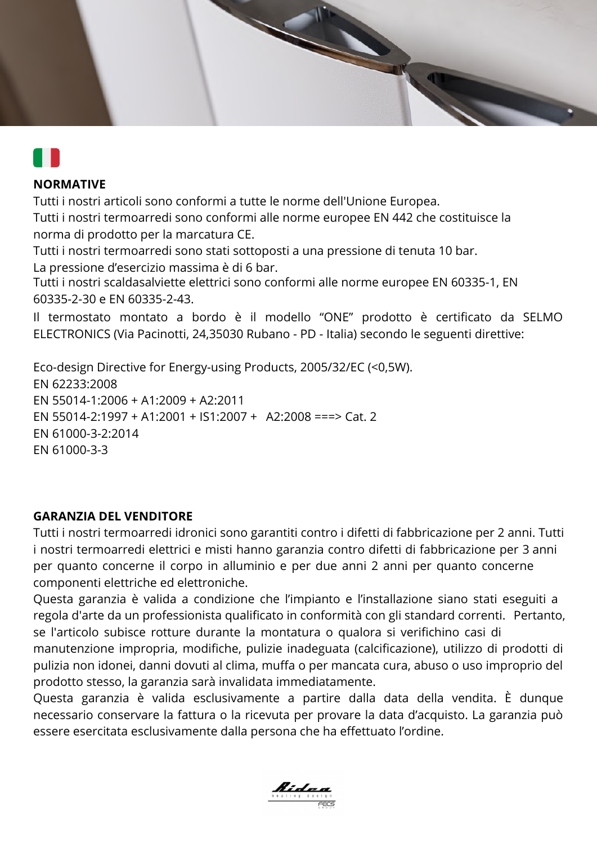



# **NORMATIVE**

Tutti i nostri articoli sono conformi a tutte le norme dell'Unione Europea.

Tutti i nostri termoarredi sono conformi alle norme europee EN 442 che costituisce la norma di prodotto per la marcatura CE.

Tutti i nostri termoarredi sono stati sottoposti a una pressione di tenuta 10 bar. La pressione d'esercizio massima è di 6 bar.

Tutti i nostri scaldasalviette elettrici sono conformi alle norme europee EN 60335-1, EN 60335-2-30 e EN 60335-2-43.

Il termostato montato a bordo è il modello "ONE" prodotto è certificato da SELMO ELECTRONICS (Via Pacinotti, 24,35030 Rubano - PD - Italia) secondo le seguenti direttive:

Eco-design Directive for Energy-using Products, 2005/32/EC (<0,5W). EN 62233:2008 EN 55014-1:2006 + A1:2009 + A2:2011 EN 55014-2:1997 + A1:2001 + IS1:2007 + A2:2008 ===> Cat. 2 EN 61000-3-2:2014 EN 61000-3-3

# **GARANZIA DEL VENDITORE**

Tutti i nostri termoarredi idronici sono garantiti contro i difetti di fabbricazione per 2 anni. Tutti i nostri termoarredi elettrici e misti hanno garanzia contro difetti di fabbricazione per 3 anni per quanto concerne il corpo in alluminio e per due anni 2 anni per quanto concerne componenti elettriche ed elettroniche.

Questa garanzia è valida a condizione che l'impianto e l'installazione siano stati eseguiti a regola d'arte da un professionista qualificato in conformità con gli standard correnti. Pertanto, se l'articolo subisce rotture durante la montatura o qualora si verifichino casi di

manutenzione impropria, modifiche, pulizie inadeguata (calcificazione), utilizzo di prodotti di pulizia non idonei, danni dovuti al clima, muffa o per mancata cura, abuso o uso improprio del prodotto stesso, la garanzia sarà invalidata immediatamente.

Questa garanzia è valida esclusivamente a partire dalla data della vendita. È dunque necessario conservare la fattura o la ricevuta per provare la data d'acquisto. La garanzia può essere esercitata esclusivamente dalla persona che ha effettuato l'ordine.

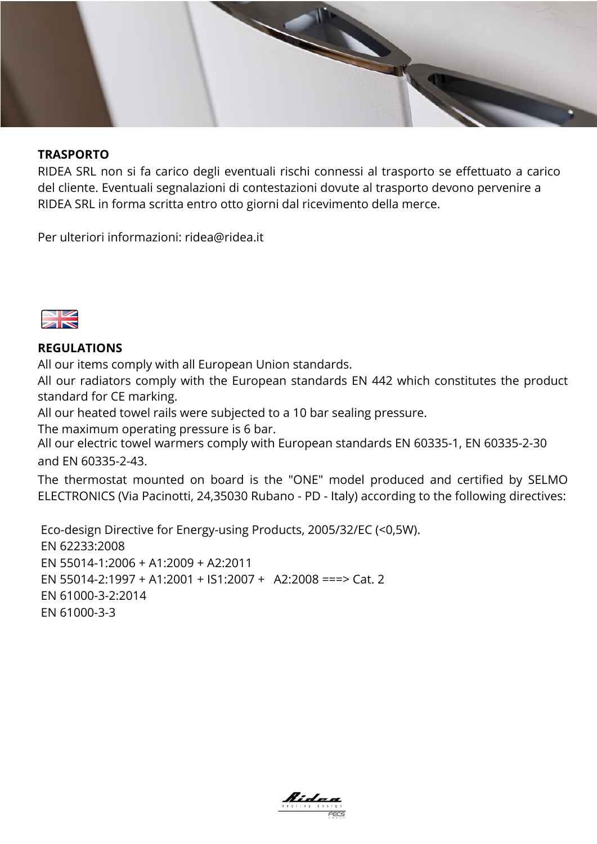### **TRASPORTO**

RIDEA SRL non si fa carico degli eventuali rischi connessi al trasporto se effettuato a carico del cliente. Eventuali segnalazioni di contestazioni dovute al trasporto devono pervenire a RIDEA SRL in forma scritta entro otto giorni dal ricevimento della merce.

Per ulteriori informazioni: ridea@ridea.it



### **REGULATIONS**

All our items comply with all European Union standards.

All our radiators comply with the European standards EN 442 which constitutes the product standard for CE marking.

All our heated towel rails were subjected to a 10 bar sealing pressure.

The maximum operating pressure is 6 bar.

All our electric towel warmers comply with European standards EN 60335-1, EN 60335-2-30 and EN 60335-2-43.

The thermostat mounted on board is the "ONE" model produced and certified by SELMO ELECTRONICS (Via Pacinotti, 24,35030 Rubano - PD - Italy) according to the following directives:

 Eco-design Directive for Energy-using Products, 2005/32/EC (<0,5W). EN 62233:2008 EN 55014-1:2006 + A1:2009 + A2:2011 EN 55014-2:1997 + A1:2001 + IS1:2007 + A2:2008 ===> Cat. 2 EN 61000-3-2:2014 EN 61000-3-3

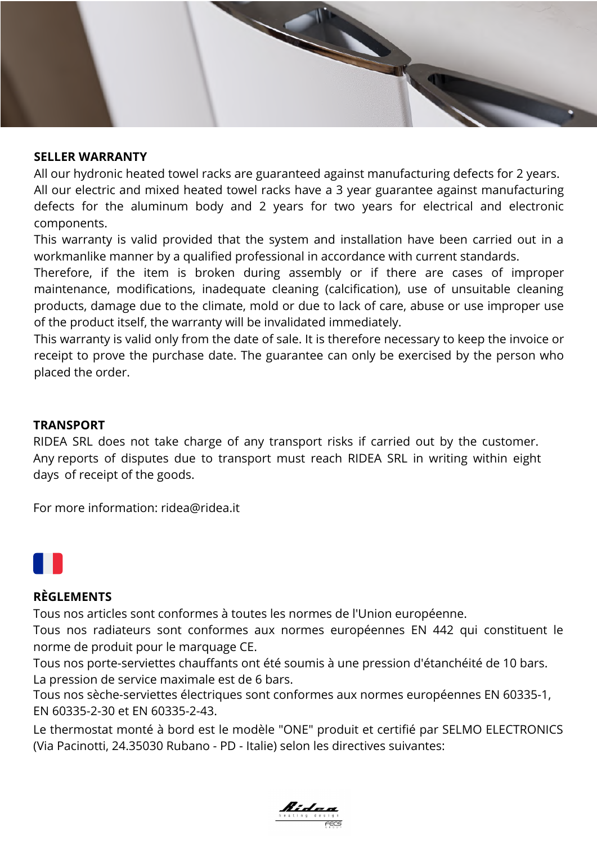### **SELLER WARRANTY**

All our hydronic heated towel racks are guaranteed against manufacturing defects for 2 years. All our electric and mixed heated towel racks have a 3 year guarantee against manufacturing defects for the aluminum body and 2 years for two years for electrical and electronic components.

This warranty is valid provided that the system and installation have been carried out in a workmanlike manner by a qualified professional in accordance with current standards.

Therefore, if the item is broken during assembly or if there are cases of improper maintenance, modifications, inadequate cleaning (calcification), use of unsuitable cleaning products, damage due to the climate, mold or due to lack of care, abuse or use improper use of the product itself, the warranty will be invalidated immediately.

This warranty is valid only from the date of sale. It is therefore necessary to keep the invoice or receipt to prove the purchase date. The guarantee can only be exercised by the person who placed the order.

### **TRANSPORT**

RIDEA SRL does not take charge of any transport risks if carried out by the customer. Any reports of disputes due to transport must reach RIDEA SRL in writing within eight days of receipt of the goods.

For more information: ridea@ridea.it



#### **RÈGLEMENTS**

Tous nos articles sont conformes à toutes les normes de l'Union européenne.

Tous nos radiateurs sont conformes aux normes européennes EN 442 qui constituent le norme de produit pour le marquage CE.

Tous nos porte-serviettes chauffants ont été soumis à une pression d'étanchéité de 10 bars. La pression de service maximale est de 6 bars.

Tous nos sèche-serviettes électriques sont conformes aux normes européennes EN 60335-1, EN 60335-2-30 et EN 60335-2-43.

Le thermostat monté à bord est le modèle "ONE" produit et certifié par SELMO ELECTRONICS (Via Pacinotti, 24.35030 Rubano - PD - Italie) selon les directives suivantes:

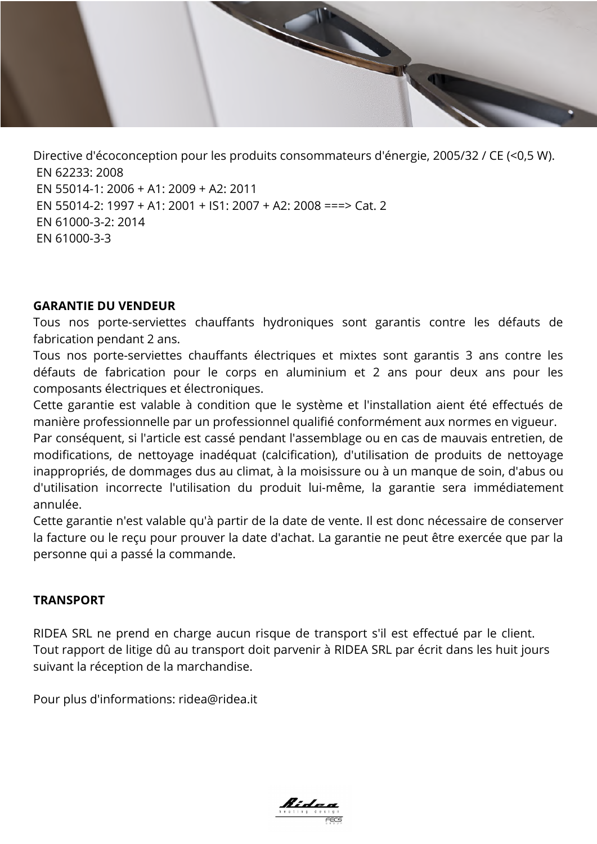Directive d'écoconception pour les produits consommateurs d'énergie, 2005/32 / CE (<0,5 W). EN 62233: 2008 EN 55014-1: 2006 + A1: 2009 + A2: 2011 EN 55014-2: 1997 + A1: 2001 + IS1: 2007 + A2: 2008 ===> Cat. 2 EN 61000-3-2: 2014 EN 61000-3-3

### **GARANTIE DU VENDEUR**

Tous nos porte-serviettes chauffants hydroniques sont garantis contre les défauts de fabrication pendant 2 ans.

Tous nos porte-serviettes chauffants électriques et mixtes sont garantis 3 ans contre les défauts de fabrication pour le corps en aluminium et 2 ans pour deux ans pour les composants électriques et électroniques.

Cette garantie est valable à condition que le système et l'installation aient été effectués de manière professionnelle par un professionnel qualifié conformément aux normes en vigueur.

Par conséquent, si l'article est cassé pendant l'assemblage ou en cas de mauvais entretien, de modifications, de nettoyage inadéquat (calcification), d'utilisation de produits de nettoyage inappropriés, de dommages dus au climat, à la moisissure ou à un manque de soin, d'abus ou d'utilisation incorrecte l'utilisation du produit lui-même, la garantie sera immédiatement annulée.

Cette garantie n'est valable qu'à partir de la date de vente. Il est donc nécessaire de conserver la facture ou le reçu pour prouver la date d'achat. La garantie ne peut être exercée que par la personne qui a passé la commande.

## **TRANSPORT**

RIDEA SRL ne prend en charge aucun risque de transport s'il est effectué par le client. Tout rapport de litige dû au transport doit parvenir à RIDEA SRL par écrit dans les huit jours suivant la réception de la marchandise.

Pour plus d'informations: ridea@ridea.it

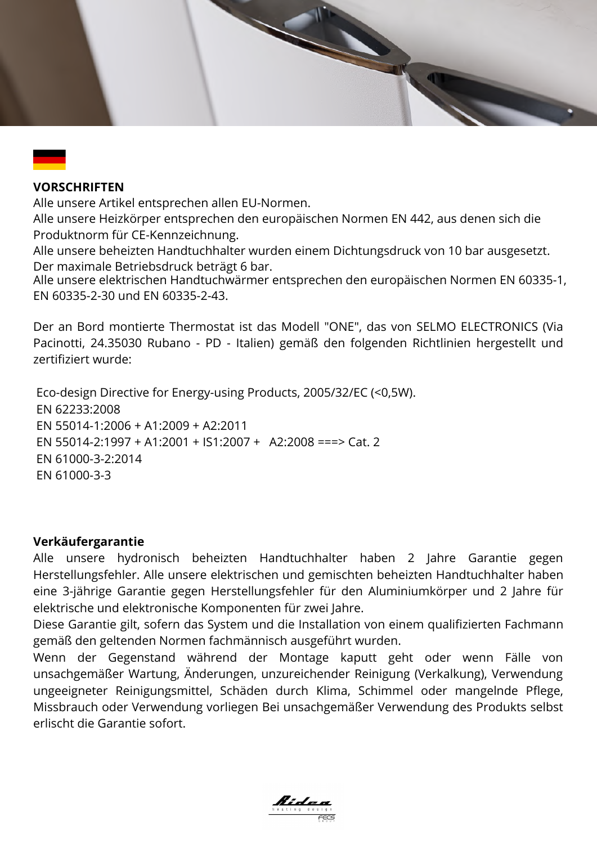### **VORSCHRIFTEN**

Alle unsere Artikel entsprechen allen EU-Normen.

Alle unsere Heizkörper entsprechen den europäischen Normen EN 442, aus denen sich die Produktnorm für CE-Kennzeichnung.

Alle unsere beheizten Handtuchhalter wurden einem Dichtungsdruck von 10 bar ausgesetzt. Der maximale Betriebsdruck beträgt 6 bar.

Alle unsere elektrischen Handtuchwärmer entsprechen den europäischen Normen EN 60335-1, EN 60335-2-30 und EN 60335-2-43.

Der an Bord montierte Thermostat ist das Modell "ONE", das von SELMO ELECTRONICS (Via Pacinotti, 24.35030 Rubano - PD - Italien) gemäß den folgenden Richtlinien hergestellt und zertifiziert wurde:

 Eco-design Directive for Energy-using Products, 2005/32/EC (<0,5W). EN 62233:2008 EN 55014-1:2006 + A1:2009 + A2:2011 EN 55014-2:1997 + A1:2001 + IS1:2007 + A2:2008 ===> Cat. 2 EN 61000-3-2:2014 EN 61000-3-3

#### **Verkäufergarantie**

Alle unsere hydronisch beheizten Handtuchhalter haben 2 Jahre Garantie gegen Herstellungsfehler. Alle unsere elektrischen und gemischten beheizten Handtuchhalter haben eine 3-jährige Garantie gegen Herstellungsfehler für den Aluminiumkörper und 2 Jahre für elektrische und elektronische Komponenten für zwei Jahre.

Diese Garantie gilt, sofern das System und die Installation von einem qualifizierten Fachmann gemäß den geltenden Normen fachmännisch ausgeführt wurden.

Wenn der Gegenstand während der Montage kaputt geht oder wenn Fälle von unsachgemäßer Wartung, Änderungen, unzureichender Reinigung (Verkalkung), Verwendung ungeeigneter Reinigungsmittel, Schäden durch Klima, Schimmel oder mangelnde Pflege, Missbrauch oder Verwendung vorliegen Bei unsachgemäßer Verwendung des Produkts selbst erlischt die Garantie sofort.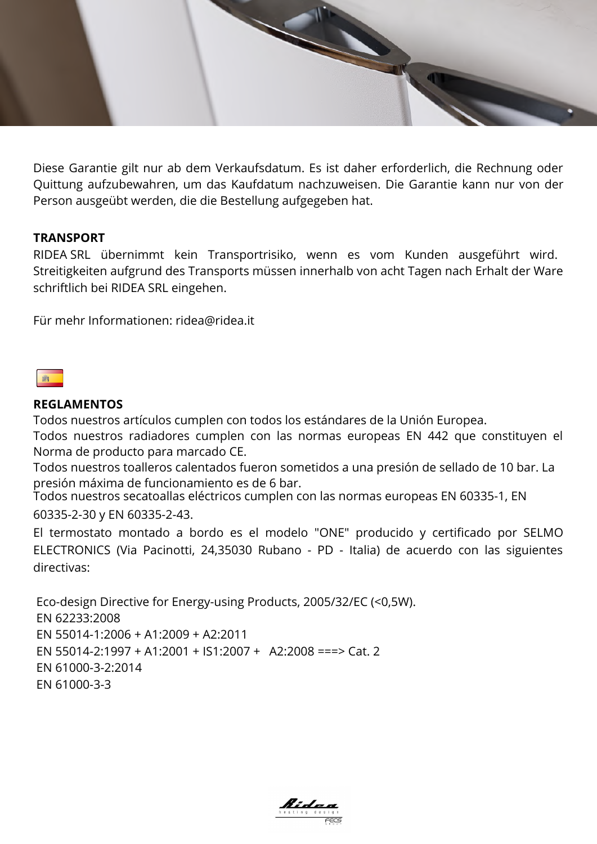

Diese Garantie gilt nur ab dem Verkaufsdatum. Es ist daher erforderlich, die Rechnung oder Quittung aufzubewahren, um das Kaufdatum nachzuweisen. Die Garantie kann nur von der Person ausgeübt werden, die die Bestellung aufgegeben hat.

### **TRANSPORT**

RIDEA SRL übernimmt kein Transportrisiko, wenn es vom Kunden ausgeführt wird. Streitigkeiten aufgrund des Transports müssen innerhalb von acht Tagen nach Erhalt der Ware schriftlich bei RIDEA SRL eingehen.

Für mehr Informationen: ridea@ridea.it

# **B**

#### **REGLAMENTOS**

Todos nuestros artículos cumplen con todos los estándares de la Unión Europea.

Todos nuestros radiadores cumplen con las normas europeas EN 442 que constituyen el Norma de producto para marcado CE.

Todos nuestros toalleros calentados fueron sometidos a una presión de sellado de 10 bar. La presión máxima de funcionamiento es de 6 bar.

Todos nuestros secatoallas eléctricos cumplen con las normas europeas EN 60335-1, EN 60335-2-30 y EN 60335-2-43.

El termostato montado a bordo es el modelo "ONE" producido y certificado por SELMO ELECTRONICS (Via Pacinotti, 24,35030 Rubano - PD - Italia) de acuerdo con las siguientes directivas:

 Eco-design Directive for Energy-using Products, 2005/32/EC (<0,5W). EN 62233:2008 EN 55014-1:2006 + A1:2009 + A2:2011 EN 55014-2:1997 + A1:2001 + IS1:2007 + A2:2008 ===> Cat. 2 EN 61000-3-2:2014 EN 61000-3-3